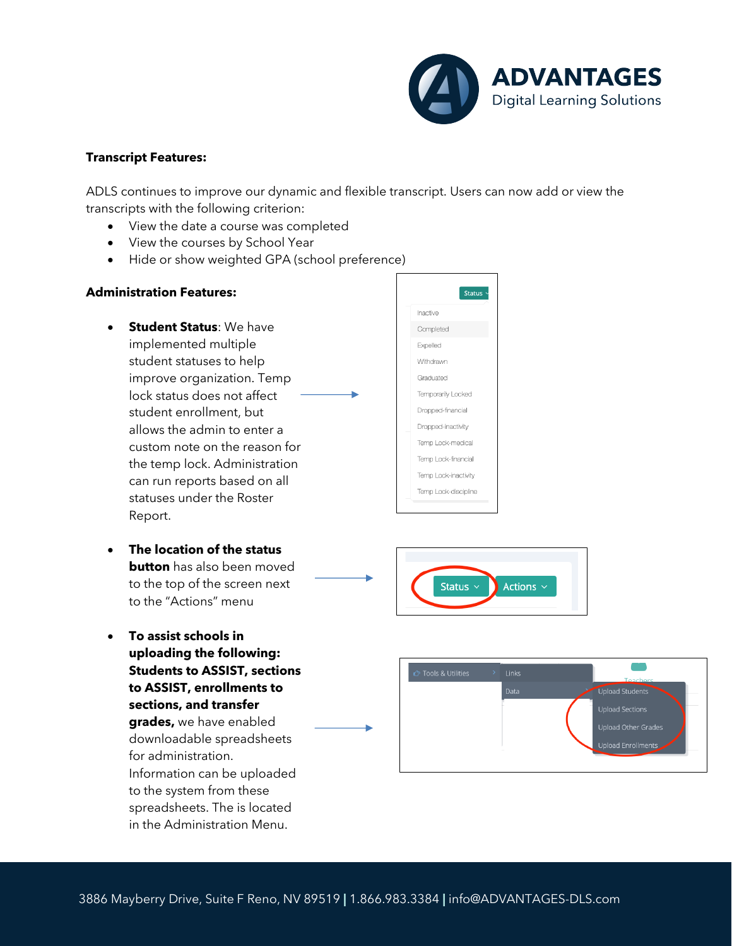

## **Transcript Features:**

ADLS continues to improve our dynamic and flexible transcript. Users can now add or view the transcripts with the following criterion:

- View the date a course was completed
- View the courses by School Year
- Hide or show weighted GPA (school preference)

## **Administration Features:**

• **Student Status**: We have implemented multiple student statuses to help improve organization. Temp lock status does not affect student enrollment, but allows the admin to enter a custom note on the reason for the temp lock. Administration can run reports based on all statuses under the Roster Report.

| <b>Status</b>        |
|----------------------|
| Inactive             |
| Completed            |
| Expelled             |
| Withdrawn            |
| Graduated            |
| Temporarily Locked   |
| Dropped-financial    |
| Dropped-inactivity   |
| Temp Lock-medical    |
| Temp Lock-financial  |
| Temp Lock-inactivity |
| Temp Lock-discipline |

- **The location of the status button** has also been moved to the top of the screen next Status  $\vee$ Actions  $\scriptstyle\mathtt{\sim}$ to the "Actions" menu
- **To assist schools in uploading the following: Students to ASSIST, sections to ASSIST, enrollments to sections, and transfer grades,** we have enabled downloadable spreadsheets for administration. Information can be uploaded to the system from these spreadsheets. The is located in the Administration Menu.

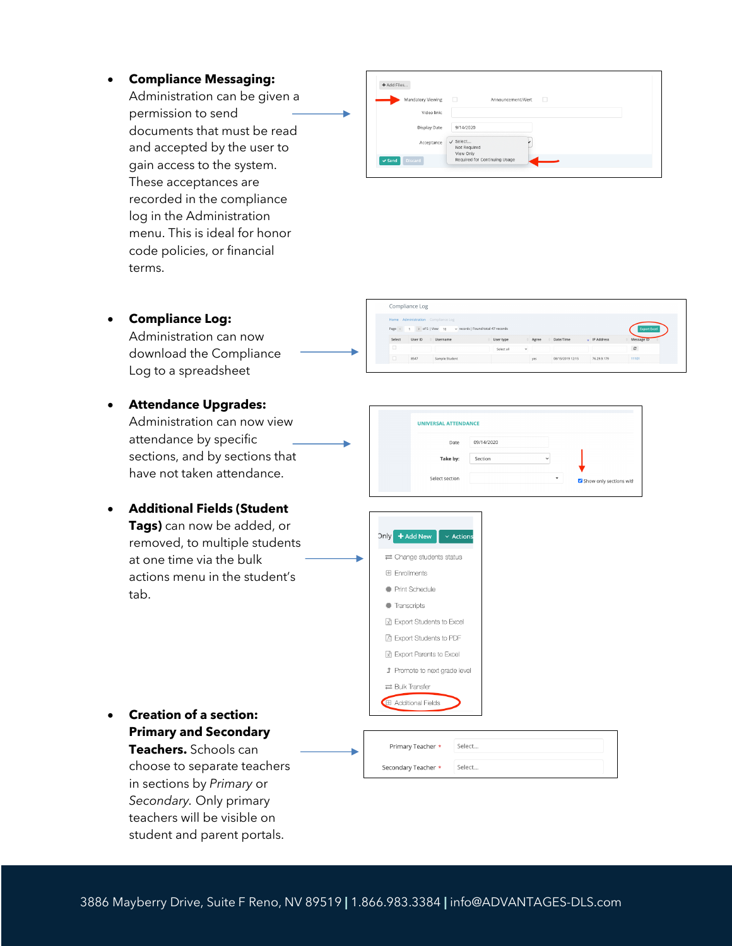• **Compliance Messaging:**

Administration can be given a permission to send documents that must be read and accepted by the user to gain access to the system. These acceptances are recorded in the compliance log in the Administration menu. This is ideal for honor code policies, or financial terms.

| + Add Files                   |                                                  |  |
|-------------------------------|--------------------------------------------------|--|
| Mandatory Viewing             | - 0<br>Announcement/Alert<br>- 0                 |  |
| Video link:                   |                                                  |  |
| Display Date                  | 9/14/2020                                        |  |
| Acceptance                    | $\checkmark$ Select<br>Not Required<br>View Only |  |
| <b>Discard</b><br>$\vee$ Send | Required for Continuing Usage                    |  |